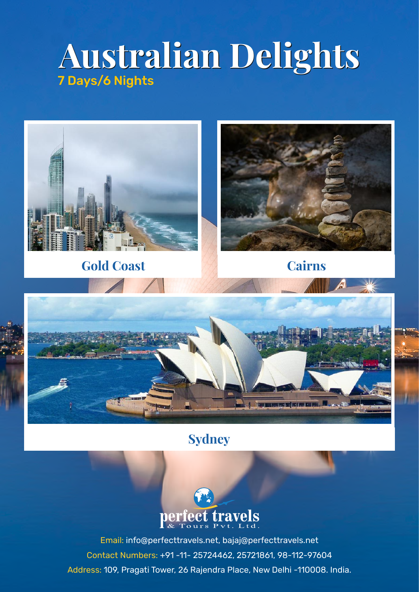# **Australian Delights Australian Delights** 7 Days/6 Nights



# **Sydney**



Email: info@perfecttravels.net, bajaj@perfecttravels.net Contact Numbers: +91 -11- 25724462, 25721861, 98-112-97604 Address: 109, Pragati Tower, 26 Rajendra Place, New Delhi -110008. India.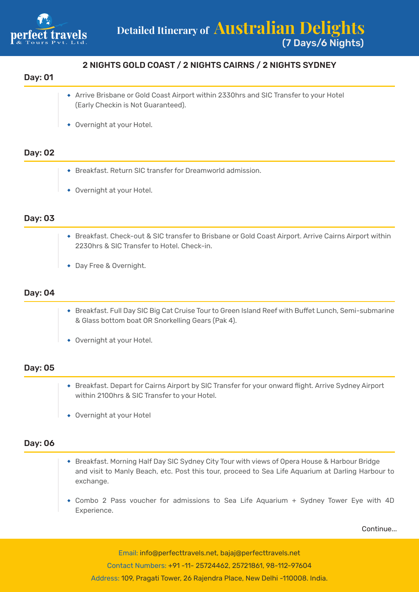

## 2 NIGHTS GOLD COAST / 2 NIGHTS CAIRNS / 2 NIGHTS SYDNEY

#### Day: 01

- Arrive Brisbane or Gold Coast Airport within 2330hrs and SIC Transfer to your Hotel (Early Checkin is Not Guaranteed).
- Overnight at your Hotel.

#### Day: 02

- Breakfast. Return SIC transfer for Dreamworld admission.
- Overnight at your Hotel.

#### Day: 03

- Breakfast. Check-out & SIC transfer to Brisbane or Gold Coast Airport. Arrive Cairns Airport within 2230hrs & SIC Transfer to Hotel. Check-in.
- Day Free & Overnight.

#### Day: 04

- Breakfast. Full Day SIC Big Cat Cruise Tour to Green Island Reef with Buffet Lunch, Semi-submarine & Glass bottom boat OR Snorkelling Gears (Pak 4).
- Overnight at your Hotel.

#### Day: 05

- Breakfast. Depart for Cairns Airport by SIC Transfer for your onward flight. Arrive Sydney Airport within 2100hrs & SIC Transfer to your Hotel.
- Overnight at your Hotel

#### Day: 06

- Breakfast. Morning Half Day SIC Sydney City Tour with views of Opera House & Harbour Bridge and visit to Manly Beach, etc. Post this tour, proceed to Sea Life Aquarium at Darling Harbour to exchange.
- Combo 2 Pass voucher for admissions to Sea Life Aquarium + Sydney Tower Eye with 4D Experience.

Continue...

Email: info@perfecttravels.net, bajaj@perfecttravels.net Contact Numbers: +91 -11- 25724462, 25721861, 98-112-97604 Address: 109, Pragati Tower, 26 Rajendra Place, New Delhi -110008. India.